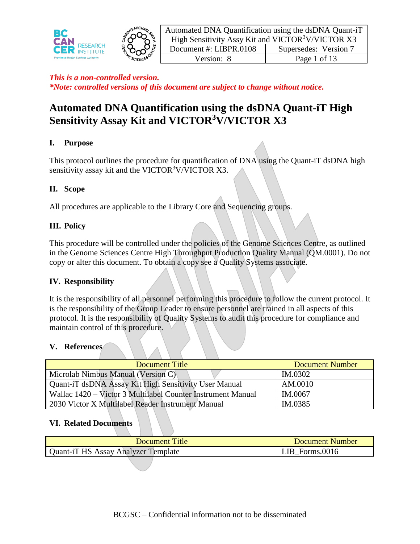



| Automated DNA Quantification using the dsDNA Quant-iT         |                       |  |  |  |  |  |
|---------------------------------------------------------------|-----------------------|--|--|--|--|--|
| High Sensitivity Assy Kit and VICTOR <sup>3</sup> V/VICTOR X3 |                       |  |  |  |  |  |
| Document #: LIBPR.0108                                        | Supersedes: Version 7 |  |  |  |  |  |
| Version: 8                                                    | Page 1 of 13          |  |  |  |  |  |

# **Automated DNA Quantification using the dsDNA Quant-iT High Sensitivity Assay Kit and VICTOR<sup>3</sup>V/VICTOR X3**

# **I. Purpose**

This protocol outlines the procedure for quantification of DNA using the Quant-iT dsDNA high sensitivity assay kit and the VICTOR $3V/VICTOR X3$ .

## **II. Scope**

All procedures are applicable to the Library Core and Sequencing groups.

## **III. Policy**

This procedure will be controlled under the policies of the Genome Sciences Centre, as outlined in the Genome Sciences Centre High Throughput Production Quality Manual (QM.0001). Do not copy or alter this document. To obtain a copy see a Quality Systems associate.

#### **IV. Responsibility**

It is the responsibility of all personnel performing this procedure to follow the current protocol. It is the responsibility of the Group Leader to ensure personnel are trained in all aspects of this protocol. It is the responsibility of Quality Systems to audit this procedure for compliance and maintain control of this procedure.

#### **V. References**

| Document Title                                              | <b>Document Number</b> |
|-------------------------------------------------------------|------------------------|
| Microlab Nimbus Manual (Version C)                          | IM.0302                |
| Quant-iT dsDNA Assay Kit High Sensitivity User Manual       | AM.0010                |
| Wallac 1420 – Victor 3 Multilabel Counter Instrument Manual | IM.0067                |
| 2030 Victor X Multilabel Reader Instrument Manual           | IM.0385                |

#### **VI. Related Documents**

| <b>Document Title</b>                      | Document Number  |
|--------------------------------------------|------------------|
| <b>Quant-iT HS Assay Analyzer Template</b> | Forms.0016<br>ΠB |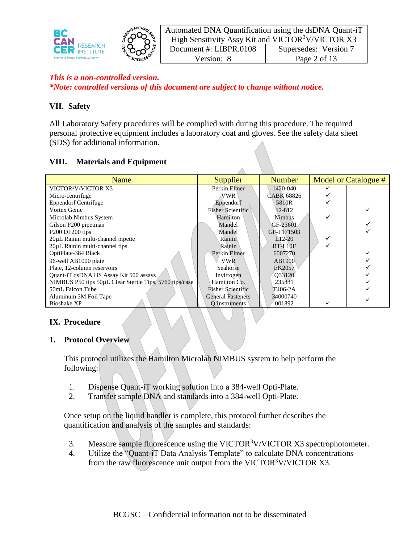

| Automated DNA Quantification using the dsDNA Quant-iT         |                       |  |  |  |  |
|---------------------------------------------------------------|-----------------------|--|--|--|--|
| High Sensitivity Assy Kit and VICTOR <sup>3</sup> V/VICTOR X3 |                       |  |  |  |  |
| Document #: LIBPR.0108                                        | Supersedes: Version 7 |  |  |  |  |
| Version: 8                                                    | Page 2 of 13          |  |  |  |  |

# **VII. Safety**

All Laboratory Safety procedures will be complied with during this procedure. The required personal protective equipment includes a laboratory coat and gloves. See the safety data sheet (SDS) for additional information.

## **VIII. Materials and Equipment**

| Name                                                    | Supplier                 | <b>Number</b>     | Model or Catalogue # |
|---------------------------------------------------------|--------------------------|-------------------|----------------------|
| VICTOR <sup>3</sup> V/VICTOR X3                         | Perkin Elmer             | 1420-040          |                      |
| Micro-centrifuge                                        | VWR                      | <b>CABK 68826</b> |                      |
| <b>Eppendorf Centrifuge</b>                             | Eppendorf                | 5810R             |                      |
| Vortex Genie                                            | <b>Fisher Scientific</b> | 12-812            |                      |
| Microlab Nimbus System                                  | Hamilton                 | <b>Nimbus</b>     |                      |
| Gilson P200 pipetman                                    | Mandel                   | GF-23601          |                      |
| P <sub>200</sub> DF <sub>200</sub> tips                 | Mandel                   | GF-F171503        |                      |
| 20µL Rainin multi-channel pipette                       | Rainin                   | $L$ 12-20         |                      |
| 20µL Rainin multi-channel tips                          | Rainin                   | RT1.10F           |                      |
| OptiPlate-384 Black                                     | Perkin Elmer             | 6007270           |                      |
| 96-well AB1000 plate                                    | <b>VWR</b>               | AB1000            |                      |
| Plate, 12-column reservoirs                             | Seahorse                 | EK2057            |                      |
| Quant-iT dsDNA HS Assay Kit 500 assays                  | Invitrogen               | O33120            |                      |
| NIMBUS P50 tips 50uL Clear Sterile Tips, 5760 tips/case | Hamilton Co.             | 235831            |                      |
| 50mL Falcon Tube                                        | <b>Fisher Scientific</b> | T406-2A           |                      |
| Aluminum 3M Foil Tape                                   | <b>General Fasteners</b> | 34000740          |                      |
| <b>Bioshake XP</b>                                      | O Instruments            | 001892            |                      |

#### **IX. Procedure**

#### **1. Protocol Overview**

This protocol utilizes the Hamilton Microlab NIMBUS system to help perform the following:

- 1. Dispense Quant-iT working solution into a 384-well Opti-Plate.
- 2. Transfer sample DNA and standards into a 384-well Opti-Plate.

Once setup on the liquid handler is complete, this protocol further describes the quantification and analysis of the samples and standards:

- 3. Measure sample fluorescence using the VICTOR<sup>3</sup>V/VICTOR  $X3$  spectrophotometer.
- 4. Utilize the "Quant-iT Data Analysis Template" to calculate DNA concentrations from the raw fluorescence unit output from the VICTOR<sup>3</sup>V/VICTOR X3.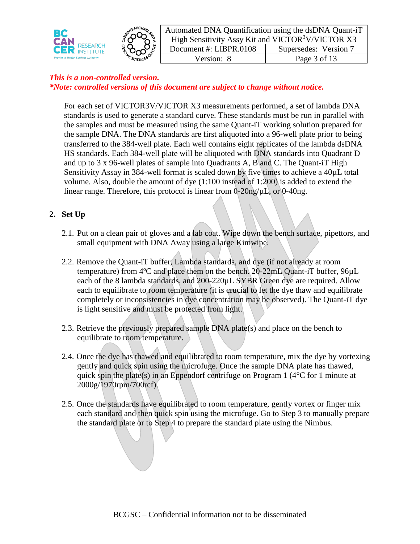



Automated DNA Quantification using the dsDNA Quant-iT High Sensitivity Assy Kit and VICTOR $3V/V$ ICTOR X3 Document #: LIBPR.0108 | Supersedes: Version 7 Version: 8 Page 3 of 13

## *This is a non-controlled version. \*Note: controlled versions of this document are subject to change without notice.*

For each set of VICTOR3V/VICTOR X3 measurements performed, a set of lambda DNA standards is used to generate a standard curve. These standards must be run in parallel with the samples and must be measured using the same Quant-iT working solution prepared for the sample DNA. The DNA standards are first aliquoted into a 96-well plate prior to being transferred to the 384-well plate. Each well contains eight replicates of the lambda dsDNA HS standards. Each 384-well plate will be aliquoted with DNA standards into Quadrant D and up to 3 x 96-well plates of sample into Quadrants A, B and C. The Quant-iT High Sensitivity Assay in 384-well format is scaled down by five times to achieve a 40µL total volume. Also, double the amount of dye (1:100 instead of 1:200) is added to extend the linear range. Therefore, this protocol is linear from  $0$ -20ng/ $\mu$ L, or  $0$ -40ng.

# **2. Set Up**

- 2.1. Put on a clean pair of gloves and a lab coat. Wipe down the bench surface, pipettors, and small equipment with DNA Away using a large Kimwipe.
- 2.2. Remove the Quant-iT buffer, Lambda standards, and dye (if not already at room temperature) from 4ºC and place them on the bench. 20-22mL Quant-iT buffer, 96µL each of the 8 lambda standards, and 200-220µL SYBR Green dye are required. Allow each to equilibrate to room temperature (it is crucial to let the dye thaw and equilibrate completely or inconsistencies in dye concentration may be observed). The Quant-iT dye is light sensitive and must be protected from light.
- 2.3. Retrieve the previously prepared sample DNA plate(s) and place on the bench to equilibrate to room temperature.
- 2.4. Once the dye has thawed and equilibrated to room temperature, mix the dye by vortexing gently and quick spin using the microfuge. Once the sample DNA plate has thawed, quick spin the plate(s) in an Eppendorf centrifuge on Program 1 ( $4^{\circ}$ C for 1 minute at 2000g/1970rpm/700rcf).
- 2.5. Once the standards have equilibrated to room temperature, gently vortex or finger mix each standard and then quick spin using the microfuge. Go to Step 3 to manually prepare the standard plate or to Step 4 to prepare the standard plate using the Nimbus.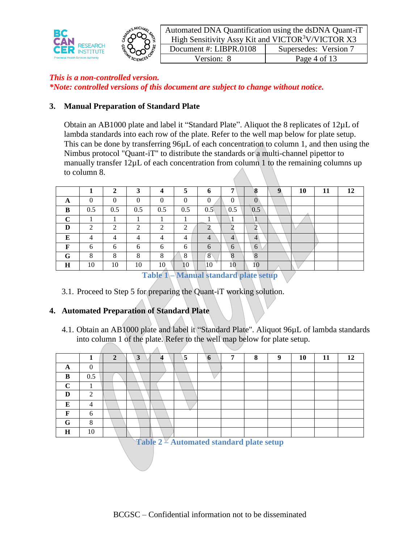

| Automated DNA Quantification using the dsDNA Quant-iT         |                       |  |  |  |  |  |
|---------------------------------------------------------------|-----------------------|--|--|--|--|--|
| High Sensitivity Assy Kit and VICTOR <sup>3</sup> V/VICTOR X3 |                       |  |  |  |  |  |
| Document #: LIBPR.0108                                        | Supersedes: Version 7 |  |  |  |  |  |
| Version: 8                                                    | Page 4 of 13          |  |  |  |  |  |

# **3. Manual Preparation of Standard Plate**

Obtain an AB1000 plate and label it "Standard Plate". Aliquot the 8 replicates of 12µL of lambda standards into each row of the plate. Refer to the well map below for plate setup. This can be done by transferring 96µL of each concentration to column 1, and then using the Nimbus protocol "Quant-iT" to distribute the standards or a multi-channel pipettor to manually transfer 12µL of each concentration from column 1 to the remaining columns up to column 8.

|   |     |         | J   |                                          | $\mathbf{z}$  | o        | −               |              | 10 | 11 | 12 |
|---|-----|---------|-----|------------------------------------------|---------------|----------|-----------------|--------------|----|----|----|
| A |     |         | 0   |                                          | $\Omega$      | $\Omega$ |                 |              |    |    |    |
| B | 0.5 | 0.5     | 0.5 | 0.5                                      | 0.5           | 0.5      | 0.5             | 0.5          |    |    |    |
| r |     |         |     |                                          |               |          |                 |              |    |    |    |
| D | ◠   | ◠       | ◠   | $\gamma$                                 | $\gamma$<br>∠ |          |                 |              |    |    |    |
| E | 4   | Λ       |     |                                          | 4             | 4        | 4               | 4            |    |    |    |
| F | 6   | 6       | 6   | 6                                        | 6             | 6        | 6               | 6            |    |    |    |
| G | 8   | $\circ$ | 8   | 8                                        | 8             | 8        | $\Omega$<br>Λ   | $\Omega$     |    |    |    |
| H | 10  | 10      | 10  | 10                                       | 10            | 10       | 10              | 10           |    |    |    |
|   |     |         |     | <b>Property of the Company's Company</b> | $-$           | . .      | <b>THE</b><br>- | <b>STATE</b> |    |    |    |

**Table 1 – Manual standard plate setup**

3.1. Proceed to Step 5 for preparing the Quant-iT working solution.

 $\Lambda$ 

# **4. Automated Preparation of Standard Plate**

4.1. Obtain an AB1000 plate and label it "Standard Plate". Aliquot 96µL of lambda standards into column 1 of the plate. Refer to the well map below for plate setup.

|          |          | $\mathbf{\hat{z}}$ | 3 | 5 | 6 | 7 | $\mathbf{o}$ | $\mathbf Q$ | 10 | 11 | 12 |
|----------|----------|--------------------|---|---|---|---|--------------|-------------|----|----|----|
| $\Gamma$ | ∩        |                    |   |   |   |   |              |             |    |    |    |
| R        | 0.5      |                    |   |   |   |   |              |             |    |    |    |
| $\sim$   |          |                    |   |   |   |   |              |             |    |    |    |
| D        | ◠        |                    |   |   |   |   |              |             |    |    |    |
| T.       |          |                    |   |   |   |   |              |             |    |    |    |
| T7.      | 6        |                    |   |   |   |   |              |             |    |    |    |
| G        | $\Omega$ |                    |   |   |   |   |              |             |    |    |    |
| H        | 10       |                    |   |   |   |   |              |             |    |    |    |

**Table 2 – Automated standard plate setup**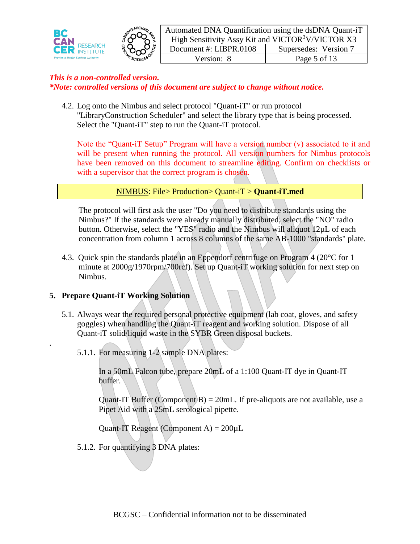



Automated DNA Quantification using the dsDNA Quant-iT High Sensitivity Assy Kit and VICTOR $3V/VICTOR X3$ Document #: LIBPR.0108 | Supersedes: Version 7 Version: 8 Page 5 of 13

## *This is a non-controlled version. \*Note: controlled versions of this document are subject to change without notice.*

4.2. Log onto the Nimbus and select protocol "Quant-iT" or run protocol "LibraryConstruction Scheduler" and select the library type that is being processed. Select the "Quant-iT" step to run the Quant-iT protocol.

Note the "Quant-iT Setup" Program will have a version number (v) associated to it and will be present when running the protocol. All version numbers for Nimbus protocols have been removed on this document to streamline editing. Confirm on checklists or with a supervisor that the correct program is chosen.

#### NIMBUS: File> Production> Quant-iT > **Quant-iT.med**

The protocol will first ask the user "Do you need to distribute standards using the Nimbus?" If the standards were already manually distributed, select the "NO" radio button. Otherwise, select the "YES" radio and the Nimbus will aliquot 12µL of each concentration from column 1 across 8 columns of the same AB-1000 "standards" plate.

4.3. Quick spin the standards plate in an Eppendorf centrifuge on Program 4 (20°C for 1 minute at 2000g/1970rpm/700rcf). Set up Quant-iT working solution for next step on Nimbus.

# **5. Prepare Quant-iT Working Solution**

.

- 5.1. Always wear the required personal protective equipment (lab coat, gloves, and safety goggles) when handling the Quant-iT reagent and working solution. Dispose of all Quant-iT solid/liquid waste in the SYBR Green disposal buckets.
	- 5.1.1. For measuring 1-2 sample DNA plates:

In a 50mL Falcon tube, prepare 20mL of a 1:100 Quant-IT dye in Quant-IT buffer.

Quant-IT Buffer (Component B) =  $20$ mL. If pre-aliquots are not available, use a Pipet Aid with a 25mL serological pipette.

Quant-IT Reagent (Component A) =  $200 \mu L$ 

5.1.2. For quantifying 3 DNA plates: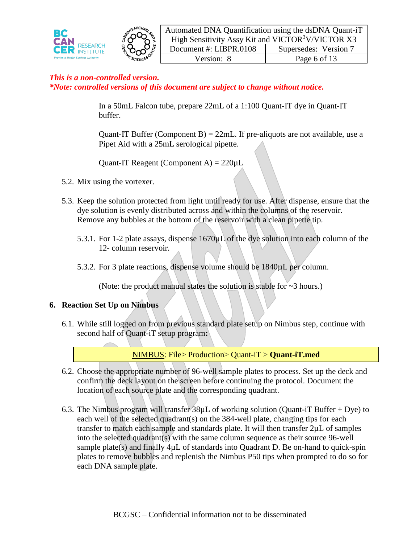



Automated DNA Quantification using the dsDNA Quant-iT High Sensitivity Assy Kit and VICTOR $3V/VICTOR X3$ Document #: LIBPR.0108 | Supersedes: Version 7 Version: 8 Page 6 of 13

## *This is a non-controlled version. \*Note: controlled versions of this document are subject to change without notice.*

In a 50mL Falcon tube, prepare 22mL of a 1:100 Quant-IT dye in Quant-IT buffer.

Quant-IT Buffer (Component B) =  $22mL$ . If pre-aliquots are not available, use a Pipet Aid with a 25mL serological pipette.

Quant-IT Reagent (Component A) =  $220 \mu L$ 

- 5.2. Mix using the vortexer.
- 5.3. Keep the solution protected from light until ready for use. After dispense, ensure that the dye solution is evenly distributed across and within the columns of the reservoir. Remove any bubbles at the bottom of the reservoir with a clean pipette tip.
	- 5.3.1. For 1-2 plate assays, dispense 1670µL of the dye solution into each column of the 12- column reservoir.
	- 5.3.2. For 3 plate reactions, dispense volume should be 1840µL per column.

(Note: the product manual states the solution is stable for ~3 hours.)

#### **6. Reaction Set Up on Nimbus**

6.1. While still logged on from previous standard plate setup on Nimbus step, continue with second half of Quant-iT setup program**:**

NIMBUS: File> Production> Quant-iT > **Quant-iT.med**

- 6.2. Choose the appropriate number of 96-well sample plates to process. Set up the deck and confirm the deck layout on the screen before continuing the protocol. Document the location of each source plate and the corresponding quadrant.
- 6.3. The Nimbus program will transfer 38µL of working solution (Quant-iT Buffer + Dye) to each well of the selected quadrant(s) on the 384-well plate, changing tips for each transfer to match each sample and standards plate. It will then transfer 2µL of samples into the selected quadrant(s) with the same column sequence as their source 96-well sample plate(s) and finally  $4\mu$ L of standards into Quadrant D. Be on-hand to quick-spin plates to remove bubbles and replenish the Nimbus P50 tips when prompted to do so for each DNA sample plate.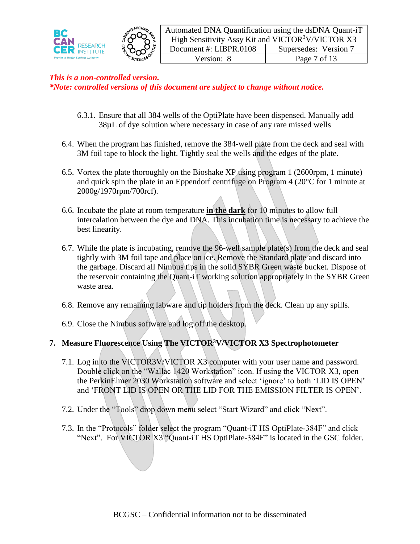



Automated DNA Quantification using the dsDNA Quant-iT High Sensitivity Assy Kit and VICTOR<sup>3</sup>V/VICTOR X3 Document #: LIBPR.0108 | Supersedes: Version 7 Version: 8 Page 7 of 13

## *This is a non-controlled version. \*Note: controlled versions of this document are subject to change without notice.*

- 6.3.1. Ensure that all 384 wells of the OptiPlate have been dispensed. Manually add 38µL of dye solution where necessary in case of any rare missed wells
- 6.4. When the program has finished, remove the 384-well plate from the deck and seal with 3M foil tape to block the light. Tightly seal the wells and the edges of the plate.
- 6.5. Vortex the plate thoroughly on the Bioshake XP using program 1 (2600rpm, 1 minute) and quick spin the plate in an Eppendorf centrifuge on Program 4 (20°C for 1 minute at 2000g/1970rpm/700rcf).
- 6.6. Incubate the plate at room temperature **in the dark** for 10 minutes to allow full intercalation between the dye and DNA. This incubation time is necessary to achieve the best linearity.
- 6.7. While the plate is incubating, remove the 96-well sample plate(s) from the deck and seal tightly with 3M foil tape and place on ice. Remove the Standard plate and discard into the garbage. Discard all Nimbus tips in the solid SYBR Green waste bucket. Dispose of the reservoir containing the Quant-iT working solution appropriately in the SYBR Green waste area.
- 6.8. Remove any remaining labware and tip holders from the deck. Clean up any spills.
- 6.9. Close the Nimbus software and log off the desktop.

# **7. Measure Fluorescence Using The VICTOR<sup>3</sup>V/VICTOR X3 Spectrophotometer**

- 7.1. Log in to the VICTOR3V/VICTOR X3 computer with your user name and password. Double click on the "Wallac 1420 Workstation" icon. If using the VICTOR X3, open the PerkinElmer 2030 Workstation software and select 'ignore' to both 'LID IS OPEN' and 'FRONT LID IS OPEN OR THE LID FOR THE EMISSION FILTER IS OPEN'.
- 7.2. Under the "Tools" drop down menu select "Start Wizard" and click "Next".
- 7.3. In the "Protocols" folder select the program "Quant-iT HS OptiPlate-384F" and click "Next". For VICTOR X3 "Quant-iT HS OptiPlate-384F" is located in the GSC folder.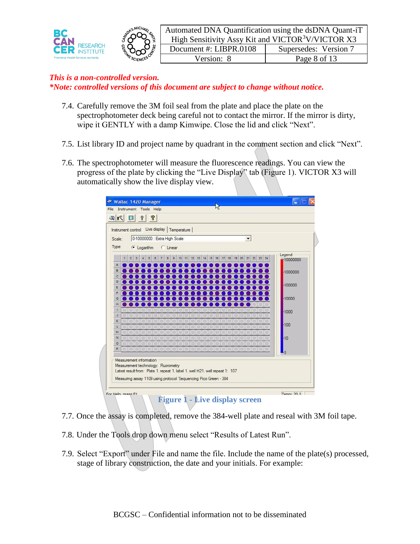



Automated DNA Quantification using the dsDNA Quant-iT High Sensitivity Assy Kit and VICTOR<sup>3</sup>V/VICTOR X3 Document #: LIBPR.0108 | Supersedes: Version 7 Version: 8 Page 8 of 13

## *This is a non-controlled version. \*Note: controlled versions of this document are subject to change without notice.*

- 7.4. Carefully remove the 3M foil seal from the plate and place the plate on the spectrophotometer deck being careful not to contact the mirror. If the mirror is dirty, wipe it GENTLY with a damp Kimwipe. Close the lid and click "Next".
- 7.5. List library ID and project name by quadrant in the comment section and click "Next".
- 7.6. The spectrophotometer will measure the fluorescence readings. You can view the progress of the plate by clicking the "Live Display" tab (Figure 1). VICTOR X3 will automatically show the live display view.

| $\mathbb{R}$ $\mathbb{R}$ | 8<br>$\Box$<br>?                                                                                                                                    |                |
|---------------------------|-----------------------------------------------------------------------------------------------------------------------------------------------------|----------------|
|                           | Instrument control Live display   Temperature                                                                                                       |                |
|                           |                                                                                                                                                     |                |
| Scale:                    | 0-10000000 : Extra High Scale<br>$\blacktriangledown$                                                                                               |                |
| Type:                     | C Linear<br>C Logarithm                                                                                                                             |                |
|                           |                                                                                                                                                     | Legend         |
|                           | 20 21<br>$\mathbf{z}\mathbf{z}$<br>23 24<br>9<br>19<br>9.<br>$\mathbf{2}$<br>3<br>5<br>3<br>10<br>12<br>13<br>14<br>15<br>16<br>18<br>6<br>11<br>17 | 10000000       |
| A                         |                                                                                                                                                     |                |
| B                         |                                                                                                                                                     | $-1000000$     |
| c                         |                                                                                                                                                     |                |
| D                         |                                                                                                                                                     | $-100000$      |
| ε                         |                                                                                                                                                     |                |
| F                         |                                                                                                                                                     |                |
| G                         |                                                                                                                                                     | $-10000$       |
| Ħ                         |                                                                                                                                                     |                |
| п                         |                                                                                                                                                     | $-1000$        |
| g.<br>K.                  |                                                                                                                                                     |                |
| L                         |                                                                                                                                                     | $-100$         |
| M                         |                                                                                                                                                     |                |
| $\overline{N}$            |                                                                                                                                                     | $-10$          |
| $\circ$                   |                                                                                                                                                     |                |
| P                         |                                                                                                                                                     |                |
|                           |                                                                                                                                                     | $\overline{0}$ |
|                           | Measurement information                                                                                                                             |                |
|                           | Measurement technology: Fluorometry                                                                                                                 |                |
|                           | Latest result from: Plate 1, repeat 1, label 1, well H21, well repeat 1: 107                                                                        |                |
|                           | Measuring assay 1109 using protocol 'Sequencing Pico Green - 384                                                                                    |                |

- 7.7. Once the assay is completed, remove the 384-well plate and reseal with 3M foil tape.
- 7.8. Under the Tools drop down menu select "Results of Latest Run".
- 7.9. Select "Export" under File and name the file. Include the name of the plate(s) processed, stage of library construction, the date and your initials. For example: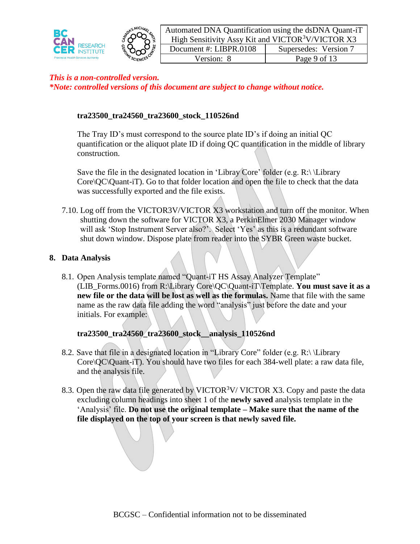



Automated DNA Quantification using the dsDNA Quant-iT High Sensitivity Assy Kit and VICTOR $3V/VICTOR X3$ Document #: LIBPR.0108 | Supersedes: Version 7 Version: 8 Page 9 of 13

## *This is a non-controlled version. \*Note: controlled versions of this document are subject to change without notice.*

# **tra23500\_tra24560\_tra23600\_stock\_110526nd**

The Tray ID's must correspond to the source plate ID's if doing an initial QC quantification or the aliquot plate ID if doing QC quantification in the middle of library construction.

Save the file in the designated location in 'Libray Core' folder (e.g. R: $\setminus$ Library Core\QC\Quant-iT). Go to that folder location and open the file to check that the data was successfully exported and the file exists.

7.10. Log off from the VICTOR3V/VICTOR X3 workstation and turn off the monitor. When shutting down the software for VICTOR X3, a PerkinElmer 2030 Manager window will ask 'Stop Instrument Server also?'. Select 'Yes' as this is a redundant software shut down window. Dispose plate from reader into the SYBR Green waste bucket.

#### **8. Data Analysis**

8.1. Open Analysis template named "Quant-iT HS Assay Analyzer Template" (LIB\_Forms.0016) from R:\Library Core\QC\Quant-iT\Template. **You must save it as a new file or the data will be lost as well as the formulas.** Name that file with the same name as the raw data file adding the word "analysis" just before the date and your initials. For example:

#### **tra23500\_tra24560\_tra23600\_stock\_\_analysis\_110526nd**

- 8.2. Save that file in a designated location in "Library Core" folder (e.g. R:\ \Library Core $\overline{QC\}$ Quant-iT). You should have two files for each 384-well plate: a raw data file, and the analysis file.
- 8.3. Open the raw data file generated by VICTOR<sup>3</sup>V/VICTOR X3. Copy and paste the data excluding column headings into sheet 1 of the **newly saved** analysis template in the 'Analysis' file. **Do not use the original template – Make sure that the name of the file displayed on the top of your screen is that newly saved file.**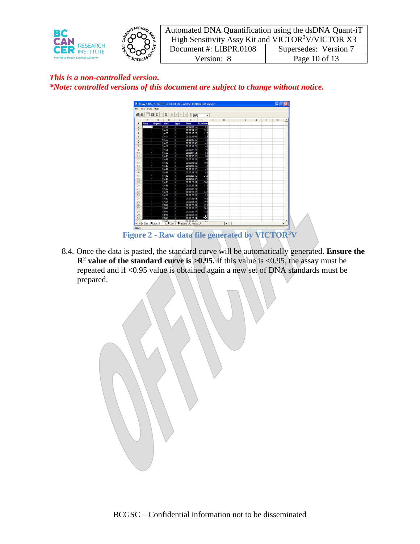



8.4. Once the data is pasted, the standard curve will be automatically generated. **Ensure the**   $\mathbb{R}^2$  **value of the standard curve is**  $>0.95$ **. If this value is <0.95, the assay must be** repeated and if <0.95 value is obtained again a new set of DNA standards must be prepared.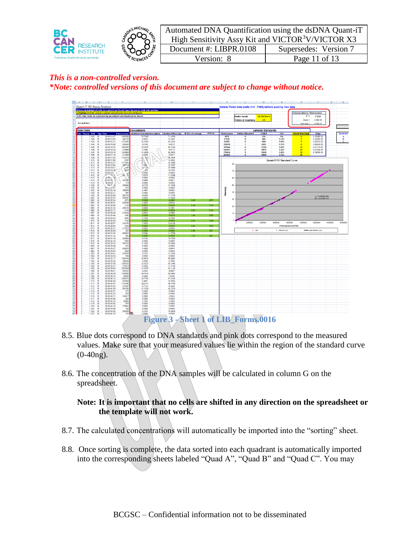



| Automated DNA Quantification using the dsDNA Quant-iT         |                       |  |  |  |  |
|---------------------------------------------------------------|-----------------------|--|--|--|--|
| High Sensitivity Assy Kit and VICTOR <sup>3</sup> V/VICTOR X3 |                       |  |  |  |  |
| Document #: LIBPR.0108                                        | Supersedes: Version 7 |  |  |  |  |
| Version: 8                                                    | Page 11 of 13         |  |  |  |  |



- 8.5. Blue dots correspond to DNA standards and pink dots correspond to the measured values. Make sure that your measured values lie within the region of the standard curve (0-40ng).
- 8.6. The concentration of the DNA samples will be calculated in column G on the spreadsheet.

**Note: It is important that no cells are shifted in any direction on the spreadsheet or the template will not work.**

- 8.7. The calculated concentrations will automatically be imported into the "sorting" sheet.
- 8.8. Once sorting is complete, the data sorted into each quadrant is automatically imported into the corresponding sheets labeled "Quad A", "Quad B" and "Quad C". You may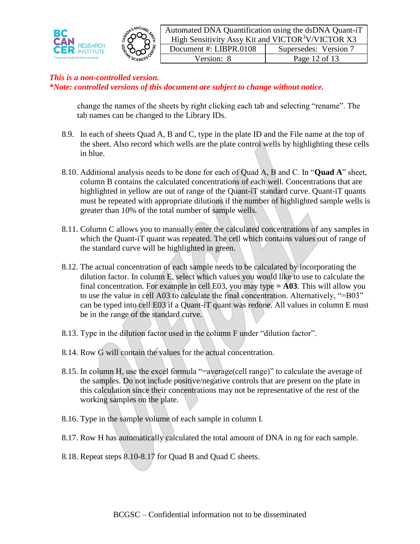



Automated DNA Quantification using the dsDNA Quant-iT High Sensitivity Assy Kit and VICTOR $3V/VICTOR X3$ Document #: LIBPR.0108 | Supersedes: Version 7 Version: 8 Page 12 of 13

## *This is a non-controlled version. \*Note: controlled versions of this document are subject to change without notice.*

change the names of the sheets by right clicking each tab and selecting "rename". The tab names can be changed to the Library IDs.

- 8.9. In each of sheets Quad A, B and C, type in the plate ID and the File name at the top of the sheet. Also record which wells are the plate control wells by highlighting these cells in blue.
- 8.10. Additional analysis needs to be done for each of Quad A, B and C. In "**Quad A**" sheet, column B contains the calculated concentrations of each well. Concentrations that are highlighted in yellow are out of range of the Quant-iT standard curve. Quant-iT quants must be repeated with appropriate dilutions if the number of highlighted sample wells is greater than 10% of the total number of sample wells.
- 8.11. Column C allows you to manually enter the calculated concentrations of any samples in which the Quant-iT quant was repeated. The cell which contains values out of range of the standard curve will be highlighted in green.
- 8.12. The actual concentration of each sample needs to be calculated by incorporating the dilution factor. In column E, select which values you would like to use to calculate the final concentration. For example in cell E03, you may type  $=$  **A03**. This will allow you to use the value in cell A03 to calculate the final concentration. Alternatively, "=B03" can be typed into cell E03 if a Quant-iT quant was redone. All values in column E must be in the range of the standard curve.
- 8.13. Type in the dilution factor used in the column F under "dilution factor".
- 8.14. Row G will contain the values for the actual concentration.
- 8.15. In column H, use the excel formula "=average(cell range)" to calculate the average of the samples. Do not include positive/negative controls that are present on the plate in this calculation since their concentrations may not be representative of the rest of the working samples on the plate.
- 8.16. Type in the sample volume of each sample in column I.
- 8.17. Row H has automatically calculated the total amount of DNA in ng for each sample.
- 8.18. Repeat steps 8.10-8.17 for Quad B and Quad C sheets.